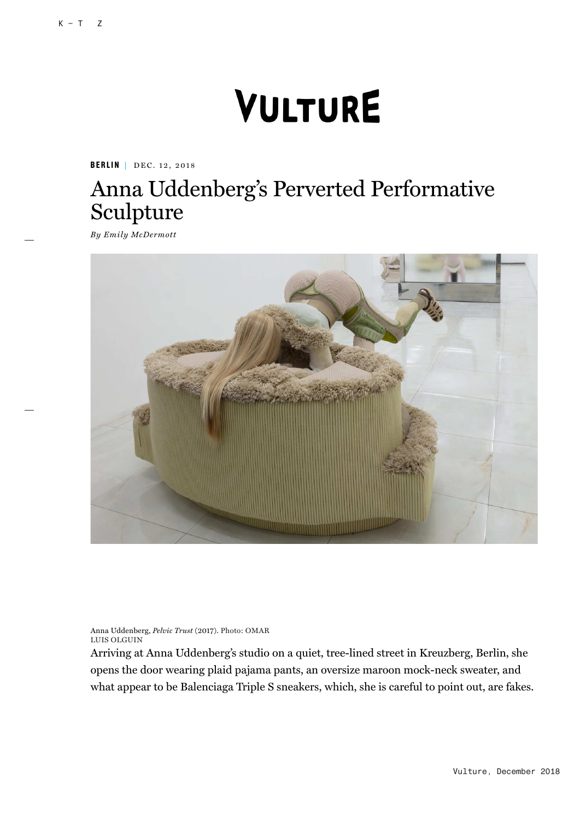## VULTURE

**BERLIN** | DEC. 12, 2018

## Anna Uddenberg's Perverted Performative Sculpture

*By Emily McDermott*



Anna Uddenberg, *Pelvic Trust* (2017). Photo: OMAR LUIS OLGUIN

Arriving at Anna Uddenberg's studio on a quiet, tree-lined street in Kreuzberg, Berlin, she opens the door wearing plaid pajama pants, an oversize maroon mock-neck sweater, and what appear to be Balenciaga Triple S sneakers, which, she is careful to point out, are fakes.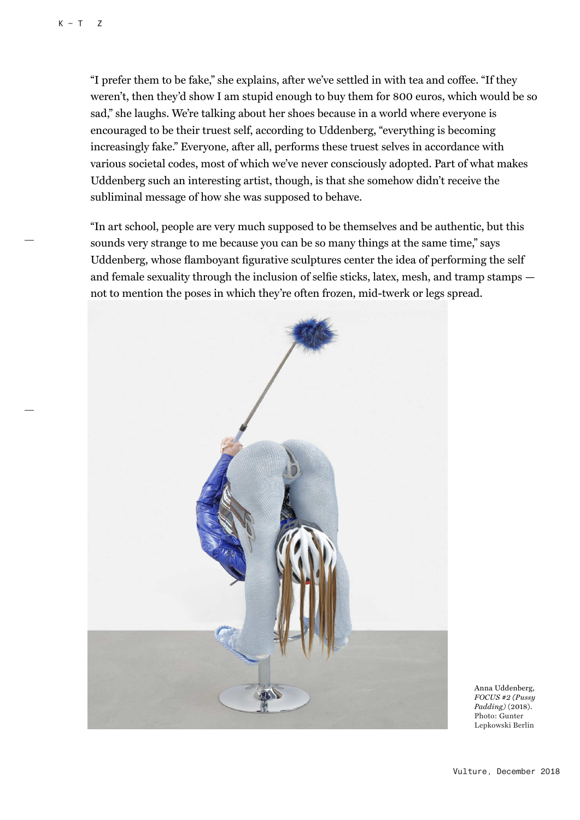"I prefer them to be fake," she explains, after we've settled in with tea and coffee. "If they weren't, then they'd show I am stupid enough to buy them for 800 euros, which would be so sad," she laughs. We're talking about her shoes because in a world where everyone is encouraged to be their truest self, according to Uddenberg, "everything is becoming increasingly fake." Everyone, after all, performs these truest selves in accordance with various societal codes, most of which we've never consciously adopted. Part of what makes Uddenberg such an interesting artist, though, is that she somehow didn't receive the subliminal message of how she was supposed to behave.

"In art school, people are very much supposed to be themselves and be authentic, but this sounds very strange to me because you can be so many things at the same time," says Uddenberg, whose flamboyant figurative sculptures center the idea of performing the self and female sexuality through the inclusion of selfie sticks, latex, mesh, and tramp stamps not to mention the poses in which they're often frozen, mid-twerk or legs spread.



Anna Uddenberg, *FOCUS #2 (Pussy Padding)* (2018). Photo: Gunter Lepkowski Berlin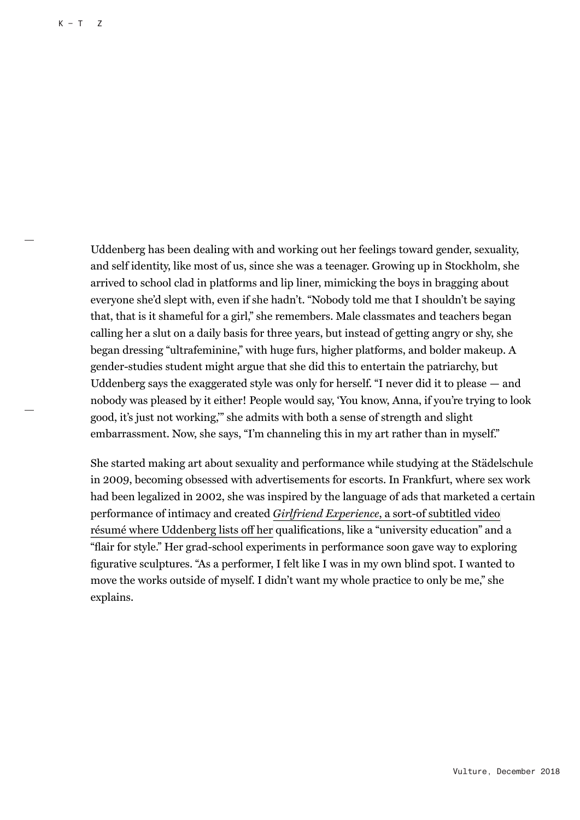Uddenberg has been dealing with and working out her feelings toward gender, sexuality, and self identity, like most of us, since she was a teenager. Growing up in Stockholm, she arrived to school clad in platforms and lip liner, mimicking the boys in bragging about everyone she'd slept with, even if she hadn't. "Nobody told me that I shouldn't be saying that, that is it shameful for a girl," she remembers. Male classmates and teachers began calling her a slut on a daily basis for three years, but instead of getting angry or shy, she began dressing "ultrafeminine," with huge furs, higher platforms, and bolder makeup. A gender-studies student might argue that she did this to entertain the patriarchy, but Uddenberg says the exaggerated style was only for herself. "I never did it to please — and nobody was pleased by it either! People would say, 'You know, Anna, if you're trying to look good, it's just not working,'" she admits with both a sense of strength and slight embarrassment. Now, she says, "I'm channeling this in my art rather than in myself."

She started making art about sexuality and performance while studying at the Städelschule in 2009, becoming obsessed with advertisements for escorts. In Frankfurt, where sex work had been legalized in 2002, she was inspired by the language of ads that marketed a certain performance of intimacy and created *Girlfriend Experience*, a sort-of subtitled video résumé where Uddenberg lists off her qualifications, like a "university education" and a "flair for style." Her grad-school experiments in performance soon gave way to exploring figurative sculptures. "As a performer, I felt like I was in my own blind spot. I wanted to move the works outside of myself. I didn't want my whole practice to only be me," she explains.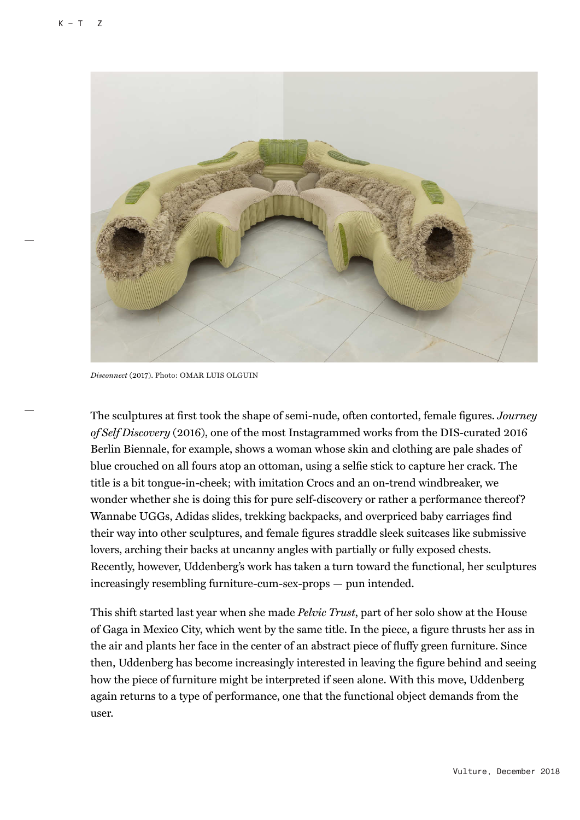

*Disconnect* (2017). Photo: OMAR LUIS OLGUIN

The sculptures at first took the shape of semi-nude, often contorted, female figures. *Journey of Self Discovery* (2016), one of the most Instagrammed works from the DIS-curated 2016 Berlin Biennale, for example, shows a woman whose skin and clothing are pale shades of blue crouched on all fours atop an ottoman, using a selfie stick to capture her crack. The title is a bit tongue-in-cheek; with imitation Crocs and an on-trend windbreaker, we wonder whether she is doing this for pure self-discovery or rather a performance thereof? Wannabe UGGs, Adidas slides, trekking backpacks, and overpriced baby carriages find their way into other sculptures, and female figures straddle sleek suitcases like submissive lovers, arching their backs at uncanny angles with partially or fully exposed chests. Recently, however, Uddenberg's work has taken a turn toward the functional, her sculptures increasingly resembling furniture-cum-sex-props — pun intended.

This shift started last year when she made *Pelvic Trust*, part of her solo show at the House of Gaga in Mexico City, which went by the same title. In the piece, a figure thrusts her ass in the air and plants her face in the center of an abstract piece of fluffy green furniture. Since then, Uddenberg has become increasingly interested in leaving the figure behind and seeing how the piece of furniture might be interpreted if seen alone. With this move, Uddenberg again returns to a type of performance, one that the functional object demands from the user.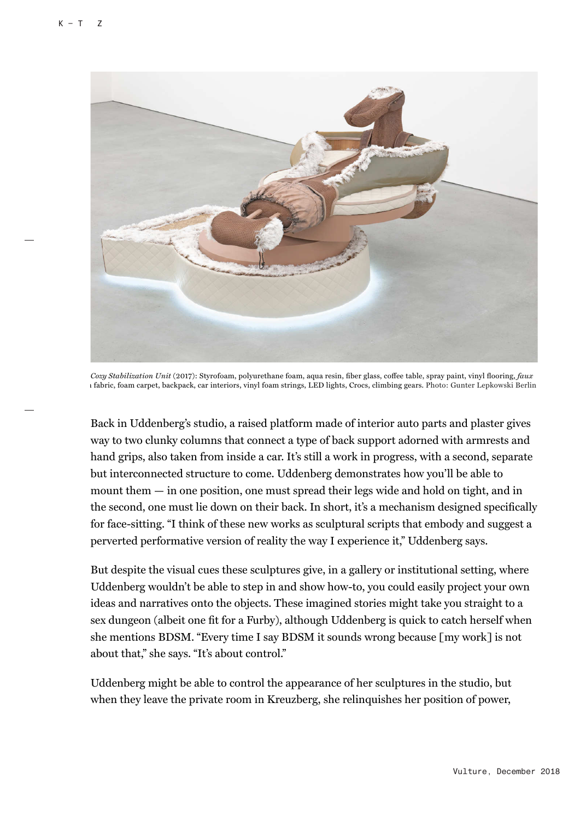

*Cozy Stabilization Unit* (2017): Styrofoam, polyurethane foam, aqua resin, fiber glass, coffee table, spray paint, vinyl flooring, *faux* h fabric, foam carpet, backpack, car interiors, vinyl foam strings, LED lights, Crocs, climbing gears. Photo: Gunter Lepkowski Berlin

Back in Uddenberg's studio, a raised platform made of interior auto parts and plaster gives way to two clunky columns that connect a type of back support adorned with armrests and hand grips, also taken from inside a car. It's still a work in progress, with a second, separate but interconnected structure to come. Uddenberg demonstrates how you'll be able to mount them — in one position, one must spread their legs wide and hold on tight, and in the second, one must lie down on their back. In short, it's a mechanism designed specifically for face-sitting. "I think of these new works as sculptural scripts that embody and suggest a perverted performative version of reality the way I experience it," Uddenberg says.

But despite the visual cues these sculptures give, in a gallery or institutional setting, where Uddenberg wouldn't be able to step in and show how-to, you could easily project your own ideas and narratives onto the objects. These imagined stories might take you straight to a sex dungeon (albeit one fit for a Furby), although Uddenberg is quick to catch herself when she mentions BDSM. "Every time I say BDSM it sounds wrong because [my work] is not about that," she says. "It's about control."

Uddenberg might be able to control the appearance of her sculptures in the studio, but when they leave the private room in Kreuzberg, she relinquishes her position of power,